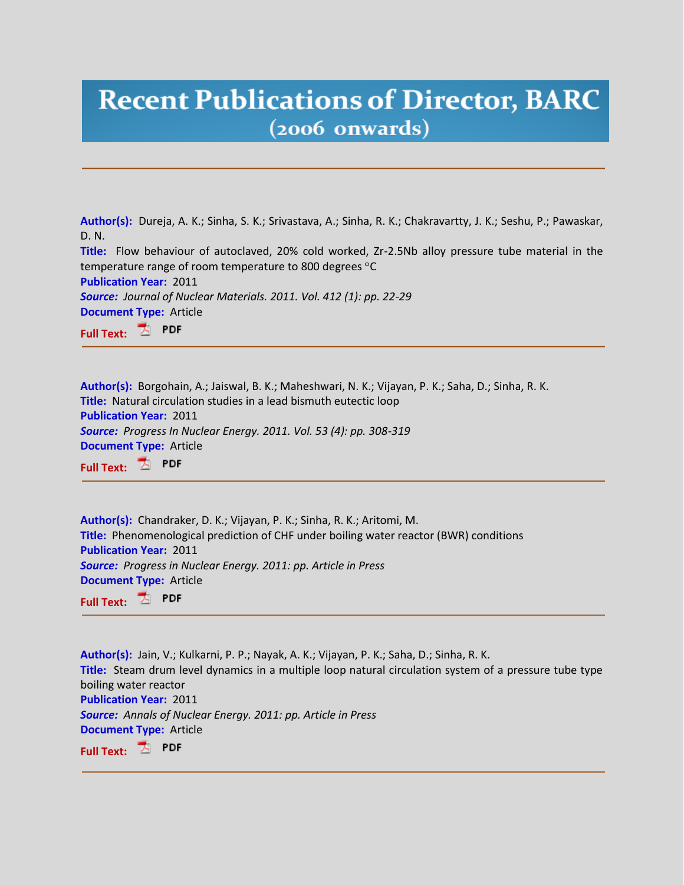## **Recent Publications of Director, BARC**  $(2006$  onwards)

**Author(s):** Dureja, A. K.; Sinha, S. K.; Srivastava, A.; Sinha, R. K.; Chakravartty, J. K.; Seshu, P.; Pawaskar, D. N. **Title:** Flow behaviour of autoclaved, 20% cold worked, Zr-2.5Nb alloy pressure tube material in the temperature range of room temperature to 800 degrees °C **Publication Year:** 2011 *Source: Journal of Nuclear Materials. 2011. Vol. 412 (1): pp. 22-29* **Document Type:** Article Z. PDF **Full Text:**

**Author(s):** Borgohain, A.; Jaiswal, B. K.; Maheshwari, N. K.; Vijayan, P. K.; Saha, D.; Sinha, R. K. **Title:** Natural circulation studies in a lead bismuth eutectic loop **Publication Year:** 2011 *Source: Progress In Nuclear Energy. 2011. Vol. 53 (4): pp. 308-319*  **Document Type:** Article **Full Text:**

**Author(s):** Chandraker, D. K.; Vijayan, P. K.; Sinha, R. K.; Aritomi, M. **Title:** Phenomenological prediction of CHF under boiling water reactor (BWR) conditions **Publication Year:** 2011 *Source: Progress in Nuclear Energy. 2011: pp. Article in Press*  **Document Type:** Article **Full Text:**

**Author(s):** Jain, V.; Kulkarni, P. P.; Nayak, A. K.; Vijayan, P. K.; Saha, D.; Sinha, R. K. **Title:** Steam drum level dynamics in a multiple loop natural circulation system of a pressure tube type boiling water reactor **Publication Year:** 2011 *Source: Annals of Nuclear Energy. 2011: pp. Article in Press*  **Document Type:** Article **Full Text: PDF**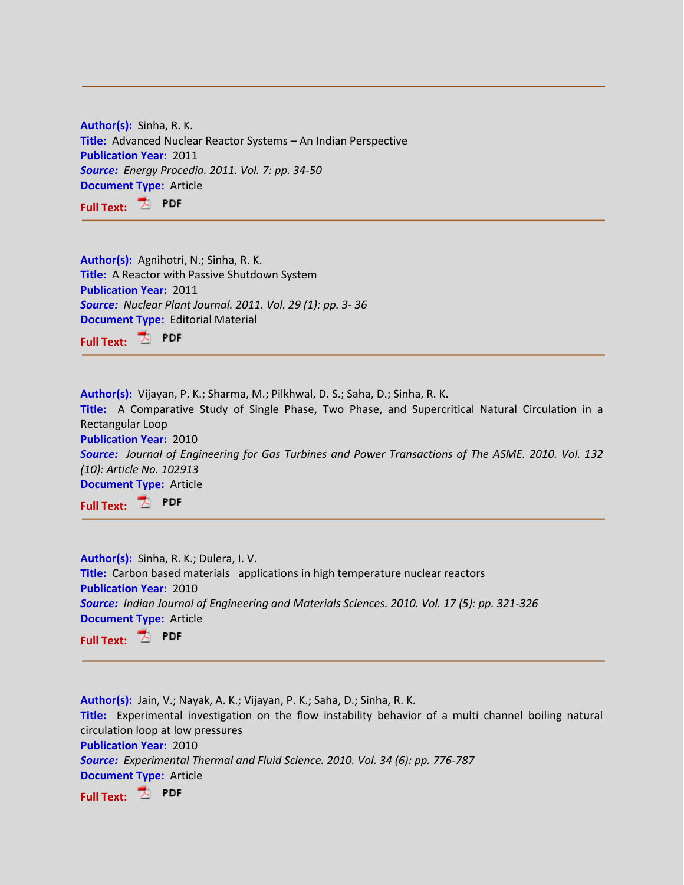**Author(s):** Sinha, R. K. **Title:** Advanced Nuclear Reactor Systems – An Indian Perspective **Publication Year:** 2011 *Source: Energy Procedia. 2011. Vol. 7: pp. 34-50* **Document Type:** Article **Full Text:**

**Author(s):** Agnihotri, N.; Sinha, R. K. **Title:** A Reactor with Passive Shutdown System **Publication Year:** 2011 *Source: Nuclear Plant Journal. 2011. Vol. 29 (1): pp. 3- 36* **Document Type:** Editorial Material **Full Text:**

**Author(s):** Vijayan, P. K.; Sharma, M.; Pilkhwal, D. S.; Saha, D.; Sinha, R. K. **Title:** A Comparative Study of Single Phase, Two Phase, and Supercritical Natural Circulation in a Rectangular Loop **Publication Year:** 2010

*Source: Journal of Engineering for Gas Turbines and Power Transactions of The ASME. 2010. Vol. 132 (10): Article No. 102913*  **Document Type:** Article

**Full Text:**

**Author(s):** Sinha, R. K.; Dulera, I. V. **Title:** Carbon based materials applications in high temperature nuclear reactors **Publication Year:** 2010 *Source: Indian Journal of Engineering and Materials Sciences. 2010. Vol. 17 (5): pp. 321-326*  **Document Type:** Article **Full Text:** PDF

**Author(s):** Jain, V.; Nayak, A. K.; Vijayan, P. K.; Saha, D.; Sinha, R. K. **Title:** Experimental investigation on the flow instability behavior of a multi channel boiling natural circulation loop at low pressures **Publication Year:** 2010 *Source: Experimental Thermal and Fluid Science. 2010. Vol. 34 (6): pp. 776-787*  **Document Type:** Article **Full Text:**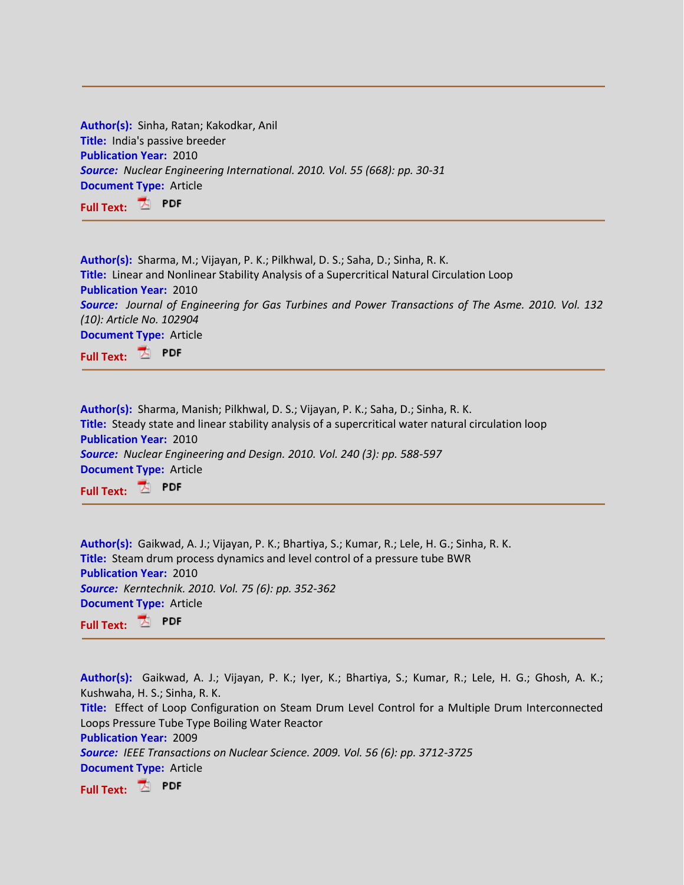| Author(s): Sinha, Ratan; Kakodkar, Anil                                   |
|---------------------------------------------------------------------------|
| Title: India's passive breeder                                            |
| <b>Publication Year: 2010</b>                                             |
| Source: Nuclear Engineering International. 2010. Vol. 55 (668): pp. 30-31 |
| <b>Document Type: Article</b>                                             |
| Full Text: $\overline{\mathbb{Z}}$ PDF                                    |

| Author(s): Sharma, M.; Vijayan, P. K.; Pilkhwal, D. S.; Saha, D.; Sinha, R. K.                            |
|-----------------------------------------------------------------------------------------------------------|
| Title: Linear and Nonlinear Stability Analysis of a Supercritical Natural Circulation Loop                |
| <b>Publication Year: 2010</b>                                                                             |
| <b>Source:</b> Journal of Engineering for Gas Turbines and Power Transactions of The Asme. 2010. Vol. 132 |
| (10): Article No. 102904                                                                                  |
| <b>Document Type: Article</b>                                                                             |
| $  \frac{\pi}{2}$ PDF                                                                                     |

**Full Text:**

**Author(s):** Sharma, Manish; Pilkhwal, D. S.; Vijayan, P. K.; Saha, D.; Sinha, R. K. **Title:** Steady state and linear stability analysis of a supercritical water natural circulation loop **Publication Year:** 2010 *Source: Nuclear Engineering and Design. 2010. Vol. 240 (3): pp. 588-597*  **Document Type:** Article **Full Text:**

**Author(s):** Gaikwad, A. J.; Vijayan, P. K.; Bhartiya, S.; Kumar, R.; Lele, H. G.; Sinha, R. K. **Title:** Steam drum process dynamics and level control of a pressure tube BWR **Publication Year:** 2010 *Source: Kerntechnik. 2010. Vol. 75 (6): pp. 352-362*  **Document Type:** Article **Full Text:**

**Author(s):** Gaikwad, A. J.; Vijayan, P. K.; Iyer, K.; Bhartiya, S.; Kumar, R.; Lele, H. G.; Ghosh, A. K.; Kushwaha, H. S.; Sinha, R. K. **Title:** Effect of Loop Configuration on Steam Drum Level Control for a Multiple Drum Interconnected Loops Pressure Tube Type Boiling Water Reactor **Publication Year:** 2009 *Source: IEEE Transactions on Nuclear Science. 2009. Vol. 56 (6): pp. 3712-3725*  **Document Type:** Article

**Full Text:**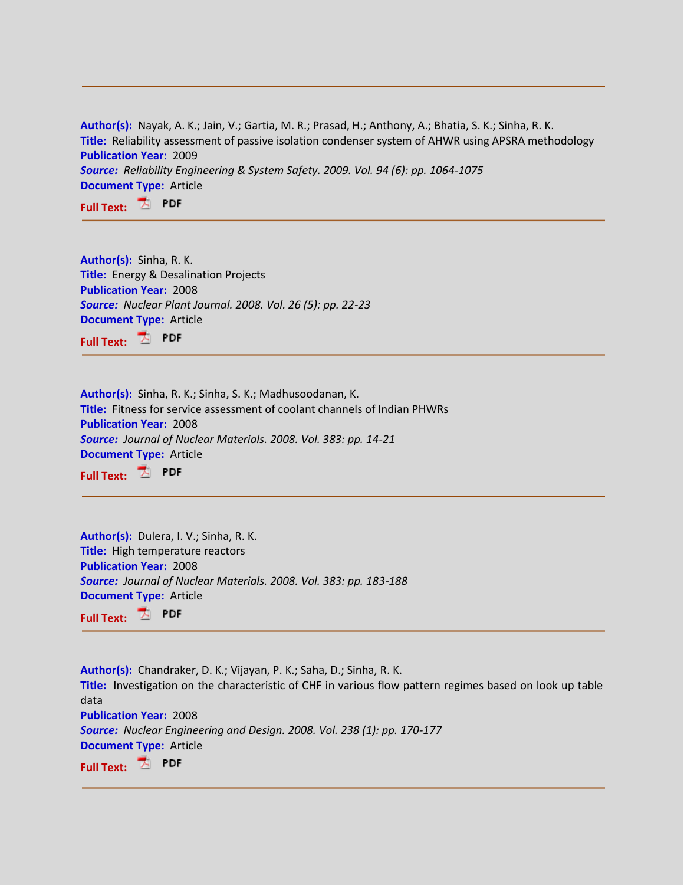**Author(s):** Nayak, A. K.; Jain, V.; Gartia, M. R.; Prasad, H.; Anthony, A.; Bhatia, S. K.; Sinha, R. K. **Title:** Reliability assessment of passive isolation condenser system of AHWR using APSRA methodology **Publication Year:** 2009 *Source: Reliability Engineering & System Safety. 2009. Vol. 94 (6): pp. 1064-1075*  **Document Type:** Article **Full Text:**

**Author(s):** Sinha, R. K. **Title:** Energy & Desalination Projects **Publication Year:** 2008 *Source: Nuclear Plant Journal. 2008. Vol. 26 (5): pp. 22-23* **Document Type:** Article **Full Text:**

**Author(s):** Sinha, R. K.; Sinha, S. K.; Madhusoodanan, K. **Title:** Fitness for service assessment of coolant channels of Indian PHWRs **Publication Year:** 2008 *Source: Journal of Nuclear Materials. 2008. Vol. 383: pp. 14-21* **Document Type:** Article **Full Text: PDF** 

**Author(s):** Dulera, I. V.; Sinha, R. K. **Title:** High temperature reactors **Publication Year:** 2008 *Source: Journal of Nuclear Materials. 2008. Vol. 383: pp. 183-188*  **Document Type:** Article **Full Text: PDF** 

**Author(s):** Chandraker, D. K.; Vijayan, P. K.; Saha, D.; Sinha, R. K. **Title:** Investigation on the characteristic of CHF in various flow pattern regimes based on look up table data **Publication Year:** 2008 *Source: Nuclear Engineering and Design. 2008. Vol. 238 (1): pp. 170-177*  **Document Type:** Article **Full Text:**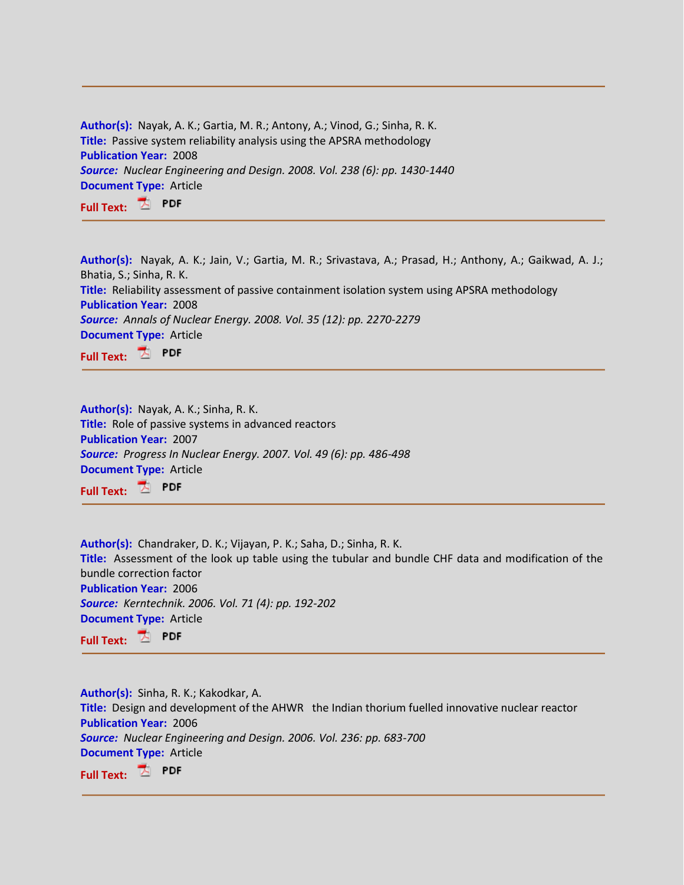| Author(s): Nayak, A. K.; Gartia, M. R.; Antony, A.; Vinod, G.; Sinha, R. K.   |
|-------------------------------------------------------------------------------|
| <b>Title:</b> Passive system reliability analysis using the APSRA methodology |
| <b>Publication Year: 2008</b>                                                 |
| Source: Nuclear Engineering and Design. 2008. Vol. 238 (6): pp. 1430-1440     |
| <b>Document Type: Article</b>                                                 |
| Full Text: 4 PDF                                                              |

**Author(s):** Nayak, A. K.; Jain, V.; Gartia, M. R.; Srivastava, A.; Prasad, H.; Anthony, A.; Gaikwad, A. J.; Bhatia, S.; Sinha, R. K. **Title:** Reliability assessment of passive containment isolation system using APSRA methodology **Publication Year:** 2008 *Source: Annals of Nuclear Energy. 2008. Vol. 35 (12): pp. 2270-2279*  **Document Type:** Article

**Full Text: PDF** 

**Author(s):** Nayak, A. K.; Sinha, R. K. **Title:** Role of passive systems in advanced reactors **Publication Year:** 2007 *Source: Progress In Nuclear Energy. 2007. Vol. 49 (6): pp. 486-498*  **Document Type:** Article **Full Text:**

**Author(s):** Chandraker, D. K.; Vijayan, P. K.; Saha, D.; Sinha, R. K. **Title:** Assessment of the look up table using the tubular and bundle CHF data and modification of the bundle correction factor **Publication Year:** 2006 *Source: Kerntechnik. 2006. Vol. 71 (4): pp. 192-202*  **Document Type:** Article **Full Text: PDF** 

**Author(s):** Sinha, R. K.; Kakodkar, A. **Title:** Design and development of the AHWR the Indian thorium fuelled innovative nuclear reactor **Publication Year:** 2006 *Source: Nuclear Engineering and Design. 2006. Vol. 236: pp. 683-700*  **Document Type:** Article **Full Text:**